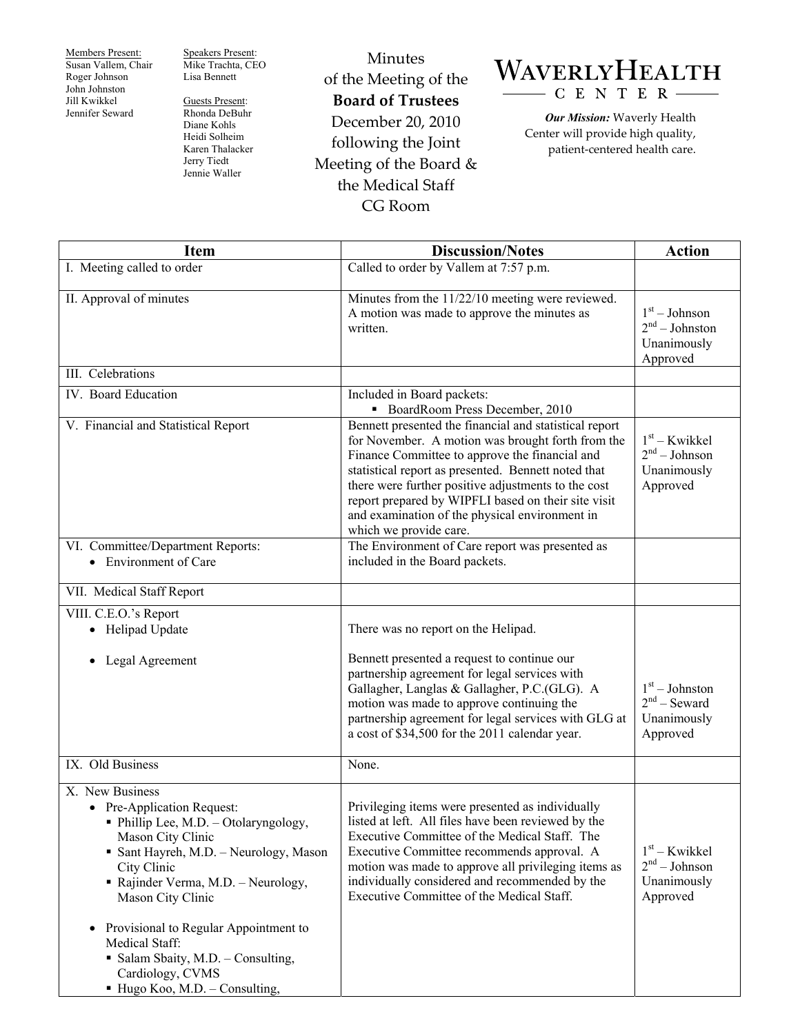Members Present: Susan Vallem, Chair Roger Johnson John Johnston Jill Kwikkel Jennifer Seward

Speakers Present: Mike Trachta, CEO Lisa Bennett

Guests Present: Rhonda DeBuhr Diane Kohls Heidi Solheim Karen Thalacker Jerry Tiedt Jennie Waller

Minutes of the Meeting of the **Board of Trustees**  December 20, 2010 following the Joint Meeting of the Board & the Medical Staff CG Room

## WAVERLYHEALTH C E N T E R

*Our Mission:* Waverly Health Center will provide high quality, patient-centered health care.

| <b>Item</b>                                                                                                                                                                                                                                                                                                                                                                                                       | <b>Discussion/Notes</b>                                                                                                                                                                                                                                                                                                                                                                                        | <b>Action</b>                                                           |
|-------------------------------------------------------------------------------------------------------------------------------------------------------------------------------------------------------------------------------------------------------------------------------------------------------------------------------------------------------------------------------------------------------------------|----------------------------------------------------------------------------------------------------------------------------------------------------------------------------------------------------------------------------------------------------------------------------------------------------------------------------------------------------------------------------------------------------------------|-------------------------------------------------------------------------|
| I. Meeting called to order                                                                                                                                                                                                                                                                                                                                                                                        | Called to order by Vallem at 7:57 p.m.                                                                                                                                                                                                                                                                                                                                                                         |                                                                         |
| II. Approval of minutes                                                                                                                                                                                                                                                                                                                                                                                           | Minutes from the 11/22/10 meeting were reviewed.<br>A motion was made to approve the minutes as<br>written.                                                                                                                                                                                                                                                                                                    | $1st - Johnson$<br>$2nd - Johnston$<br>Unanimously<br>Approved          |
| III. Celebrations                                                                                                                                                                                                                                                                                                                                                                                                 |                                                                                                                                                                                                                                                                                                                                                                                                                |                                                                         |
| IV. Board Education                                                                                                                                                                                                                                                                                                                                                                                               | Included in Board packets:<br>• BoardRoom Press December, 2010                                                                                                                                                                                                                                                                                                                                                 |                                                                         |
| V. Financial and Statistical Report                                                                                                                                                                                                                                                                                                                                                                               | Bennett presented the financial and statistical report<br>for November. A motion was brought forth from the<br>Finance Committee to approve the financial and<br>statistical report as presented. Bennett noted that<br>there were further positive adjustments to the cost<br>report prepared by WIPFLI based on their site visit<br>and examination of the physical environment in<br>which we provide care. | $1st - Kwikkel$<br>$2nd - Johnson$<br>Unanimously<br>Approved           |
| VI. Committee/Department Reports:<br>• Environment of Care                                                                                                                                                                                                                                                                                                                                                        | The Environment of Care report was presented as<br>included in the Board packets.                                                                                                                                                                                                                                                                                                                              |                                                                         |
| VII. Medical Staff Report                                                                                                                                                                                                                                                                                                                                                                                         |                                                                                                                                                                                                                                                                                                                                                                                                                |                                                                         |
| VIII. C.E.O.'s Report<br>• Helipad Update                                                                                                                                                                                                                                                                                                                                                                         | There was no report on the Helipad.                                                                                                                                                                                                                                                                                                                                                                            |                                                                         |
| Legal Agreement                                                                                                                                                                                                                                                                                                                                                                                                   | Bennett presented a request to continue our<br>partnership agreement for legal services with<br>Gallagher, Langlas & Gallagher, P.C.(GLG). A<br>motion was made to approve continuing the<br>partnership agreement for legal services with GLG at<br>a cost of \$34,500 for the 2011 calendar year.                                                                                                            | $1st - Johnston$<br>$2nd$ – Seward<br>Unanimously<br>Approved           |
| IX. Old Business                                                                                                                                                                                                                                                                                                                                                                                                  | None.                                                                                                                                                                                                                                                                                                                                                                                                          |                                                                         |
| X. New Business<br>• Pre-Application Request:<br>• Phillip Lee, M.D. - Otolaryngology,<br>Mason City Clinic<br>• Sant Hayreh, M.D. - Neurology, Mason<br>City Clinic<br>• Rajinder Verma, M.D. - Neurology,<br>Mason City Clinic<br>Provisional to Regular Appointment to<br>$\bullet$<br>Medical Staff:<br>• Salam Sbaity, M.D. - Consulting,<br>Cardiology, CVMS<br>$\blacksquare$ Hugo Koo, M.D. – Consulting, | Privileging items were presented as individually<br>listed at left. All files have been reviewed by the<br>Executive Committee of the Medical Staff. The<br>Executive Committee recommends approval. A<br>motion was made to approve all privileging items as<br>individually considered and recommended by the<br>Executive Committee of the Medical Staff.                                                   | $1st$ – Kwikkel<br>2 <sup>nd</sup> – Johnson<br>Unanimously<br>Approved |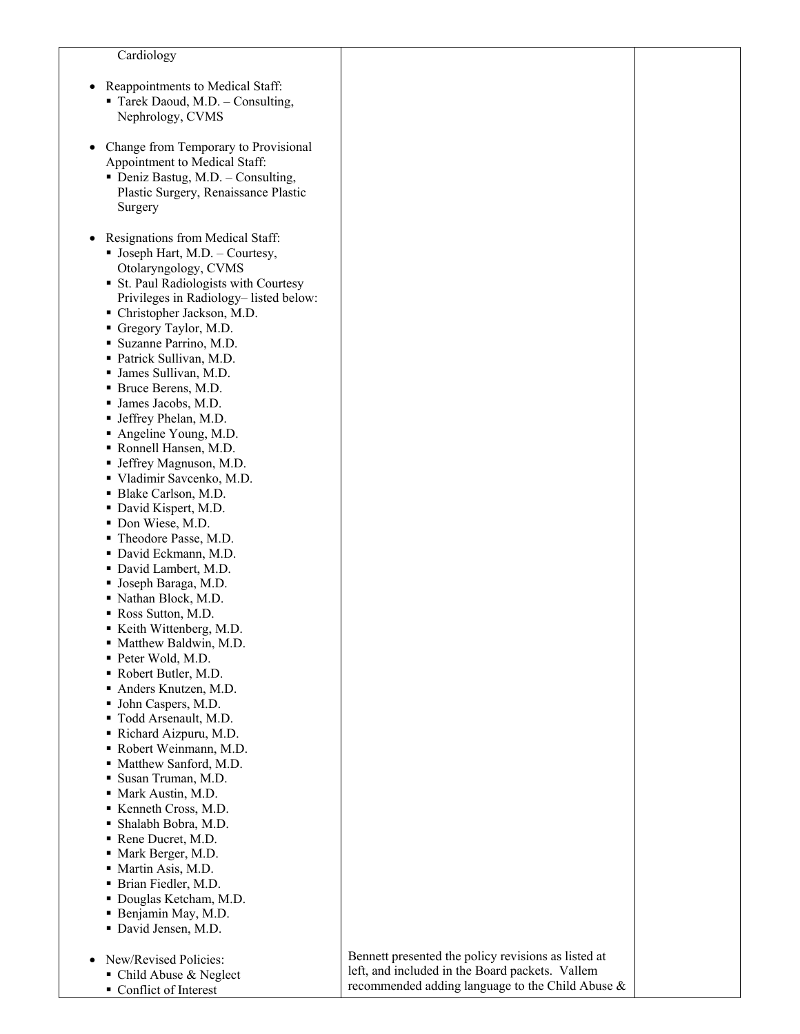## Cardiology

- Reappointments to Medical Staff: Tarek Daoud, M.D. – Consulting, Nephrology, CVMS
- Change from Temporary to Provisional Appointment to Medical Staff:
	- Deniz Bastug, M.D. Consulting, Plastic Surgery, Renaissance Plastic Surgery
- Resignations from Medical Staff:  $\blacksquare$  Joseph Hart, M.D. – Courtesy,
	- Otolaryngology, CVMS
	- St. Paul Radiologists with Courtesy Privileges in Radiology– listed below:
	- Christopher Jackson, M.D.
	- Gregory Taylor, M.D.
	- Suzanne Parrino, M.D. Patrick Sullivan, M.D.
	-
	- James Sullivan, M.D.
	- Bruce Berens, M.D. James Jacobs, M.D.
	- Jeffrey Phelan, M.D.
	- Angeline Young, M.D.
	- Ronnell Hansen, M.D.
	- Jeffrey Magnuson, M.D.
	- Vladimir Savcenko, M.D.
	- Blake Carlson, M.D.
	- David Kispert, M.D.
	- Don Wiese, M.D.
	- Theodore Passe, M.D.
	- David Eckmann, M.D.
	- David Lambert, M.D.
	- Joseph Baraga, M.D.
	- Nathan Block, M.D.
	- Ross Sutton, M.D.
	- Keith Wittenberg, M.D.
	- Matthew Baldwin, M.D.
	- Peter Wold, M.D.
	- Robert Butler, M.D.
	- Anders Knutzen, M.D.
	- John Caspers, M.D.
	-
	- Todd Arsenault, M.D.
	- Richard Aizpuru, M.D.
	- Robert Weinmann, M.D.
	- Matthew Sanford, M.D.
	- Susan Truman, M.D.
	- Mark Austin, M.D.
	- Kenneth Cross, M.D.
	- Shalabh Bobra, M.D.
	- Rene Ducret, M.D.
	- Mark Berger, M.D.
	- Martin Asis, M.D.
	- Brian Fiedler, M.D. Douglas Ketcham, M.D.
	- Benjamin May, M.D.
	- David Jensen, M.D.
- New/Revised Policies:
	- Child Abuse & Neglect
	- Conflict of Interest

Bennett presented the policy revisions as listed at left, and included in the Board packets. Vallem recommended adding language to the Child Abuse &